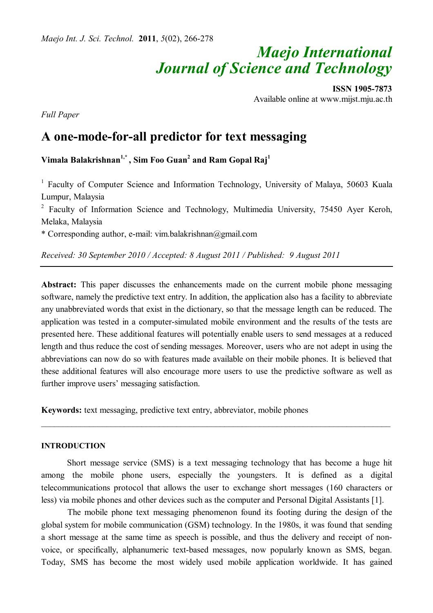# *Maejo International Journal of Science and Technology*

**ISSN 1905-7873** Available online at www.mijst.mju.ac.th

*Full Paper*

# **A one-mode-for-all predictor for text messaging**

**Vimala Balakrishnan1,\* , Sim Foo Guan<sup>2</sup> and Ram Gopal Raj<sup>1</sup>**

<sup>1</sup> Faculty of Computer Science and Information Technology, University of Malaya, 50603 Kuala Lumpur, Malaysia

<sup>2</sup> Faculty of Information Science and Technology, Multimedia University, 75450 Ayer Keroh, Melaka, Malaysia

\* Corresponding author, e-mail: vim.balakrishnan@gmail.com

*Received: 30 September 2010 / Accepted: 8 August 2011 / Published: 9 August 2011*

Abstract: This paper discusses the enhancements made on the current mobile phone messaging software, namely the predictive text entry. In addition, the application also has a facility to abbreviate any unabbreviated words that exist in the dictionary, so that the message length can be reduced. The application was tested in a computer-simulated mobile environment and the results of the tests are presented here. These additional features will potentially enable users to send messages at a reduced length and thus reduce the cost of sending messages. Moreover, users who are not adept in using the abbreviations can now do so with features made available on their mobile phones. It is believed that these additional features will also encourage more users to use the predictive software as well as further improve users' messaging satisfaction.

**Keywords:** text messaging, predictive text entry, abbreviator, mobile phones

# **INTRODUCTION**

Short message service (SMS) is a text messaging technology that has become a huge hit among the mobile phone users, especially the youngsters. It is defined as a digital telecommunications protocol that allows the user to exchange short messages (160 characters or less) via mobile phones and other devices such as the computer and Personal Digital Assistants [1].

\_\_\_\_\_\_\_\_\_\_\_\_\_\_\_\_\_\_\_\_\_\_\_\_\_\_\_\_\_\_\_\_\_\_\_\_\_\_\_\_\_\_\_\_\_\_\_\_\_\_\_\_\_\_\_\_\_\_\_\_\_\_\_\_\_\_\_\_\_\_\_\_\_\_\_\_\_\_\_\_

The mobile phone text messaging phenomenon found its footing during the design of the global system for mobile communication (GSM) technology. In the 1980s, it was found that sending a short message at the same time as speech is possible, and thus the delivery and receipt of nonvoice, or specifically, alphanumeric text-based messages, now popularly known as SMS, began. Today, SMS has become the most widely used mobile application worldwide. It has gained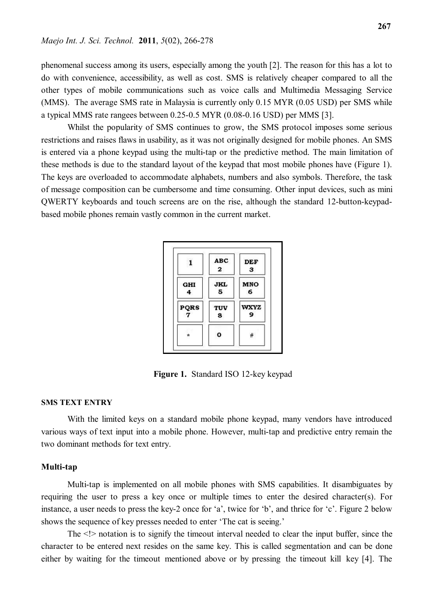phenomenal success among its users, especially among the youth [2]. The reason for this has a lot to do with convenience, accessibility, as well as cost. SMS is relatively cheaper compared to all the other types of mobile communications such as voice calls and Multimedia Messaging Service (MMS). The average SMS rate in Malaysia is currently only 0.15 MYR (0.05 USD) per SMS while a typical MMS rate rangees between 0.25-0.5 MYR (0.08-0.16 USD) per MMS [3].

Whilst the popularity of SMS continues to grow, the SMS protocol imposes some serious restrictions and raises flaws in usability, as it was not originally designed for mobile phones. An SMS is entered via a phone keypad using the multi-tap or the predictive method. The main limitation of these methods is due to the standard layout of the keypad that most mobile phones have (Figure 1). The keys are overloaded to accommodate alphabets, numbers and also symbols. Therefore, the task of message composition can be cumbersome and time consuming. Other input devices, such as mini QWERTY keyboards and touch screens are on the rise, although the standard 12-button-keypadbased mobile phones remain vastly common in the current market.

|                  | <b>ABC</b><br>2 | DEF<br>з         |
|------------------|-----------------|------------------|
| GHI<br>4         | <b>JKL</b><br>5 | MNO<br>6         |
| $\frac{PQRS}{7}$ | TUV<br>8        | <b>WXYZ</b><br>9 |
|                  | ٥               |                  |

 **Figure 1.** Standard ISO 12-key keypad

#### **SMS TEXT ENTRY**

With the limited keys on a standard mobile phone keypad, many vendors have introduced various ways of text input into a mobile phone. However, multi-tap and predictive entry remain the two dominant methods for text entry.

# **Multi-tap**

Multi-tap is implemented on all mobile phones with SMS capabilities. It disambiguates by requiring the user to press a key once or multiple times to enter the desired character(s). For instance, a user needs to press the key-2 once for 'a', twice for 'b', and thrice for 'c'. Figure 2 below shows the sequence of key presses needed to enter 'The cat is seeing.'

The  $\leq$  notation is to signify the timeout interval needed to clear the input buffer, since the character to be entered next resides on the same key. This is called segmentation and can be done either by waiting for the timeout mentioned above or by pressing the timeout kill key [4]. The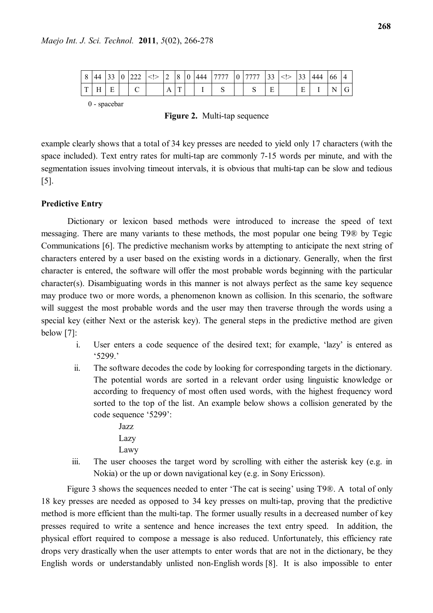| 8           | 44 | 33 | 0 <sup>1</sup> | 222 | $<$ $>$ | 12 | 8      | $\overline{0}$ | 444 | 7777 | $\mid$ 0   7777 | 33 | $\leq$ $\geq$ | 33 | 444 | 66 |  |
|-------------|----|----|----------------|-----|---------|----|--------|----------------|-----|------|-----------------|----|---------------|----|-----|----|--|
| $\mathbf T$ | н. | Е  |                |     |         |    | $\sim$ |                |     |      |                 |    |               |    |     |    |  |

0 - spacebar

**Figure 2.** Multi-tap sequence

example clearly shows that a total of 34 key presses are needed to yield only 17 characters (with the space included). Text entry rates for multi-tap are commonly 7-15 words per minute, and with the segmentation issues involving timeout intervals, it is obvious that multi-tap can be slow and tedious [5].

# **Predictive Entry**

Dictionary or lexicon based methods were introduced to increase the speed of text messaging. There are many variants to these methods, the most popular one being T9® by Tegic Communications [6]. The predictive mechanism works by attempting to anticipate the next string of characters entered by a user based on the existing words in a dictionary. Generally, when the first character is entered, the software will offer the most probable words beginning with the particular character(s). Disambiguating words in this manner is not always perfect as the same key sequence may produce two or more words, a phenomenon known as collision. In this scenario, the software will suggest the most probable words and the user may then traverse through the words using a special key (either Next or the asterisk key). The general steps in the predictive method are given below [7]:

- i. User enters a code sequence of the desired text; for example, 'lazy' is entered as '5299.'
- ii. The software decodes the code by looking for corresponding targets in the dictionary. The potential words are sorted in a relevant order using linguistic knowledge or according to frequency of most often used words, with the highest frequency word sorted to the top of the list. An example below shows a collision generated by the code sequence '5299':

 Jazz Lazy

Lawy

iii. The user chooses the target word by scrolling with either the asterisk key (e.g. in Nokia) or the up or down navigational key (e.g. in Sony Ericsson).

Figure 3 shows the sequences needed to enter 'The cat is seeing' using T9®. A total of only 18 key presses are needed as opposed to 34 key presses on multi-tap, proving that the predictive method is more efficient than the multi-tap. The former usually results in a decreased number of key presses required to write a sentence and hence increases the text entry speed. In addition, the physical effort required to compose a message is also reduced. Unfortunately, this efficiency rate drops very drastically when the user attempts to enter words that are not in the dictionary, be they English words or understandably unlisted non-English words [8]. It is also impossible to enter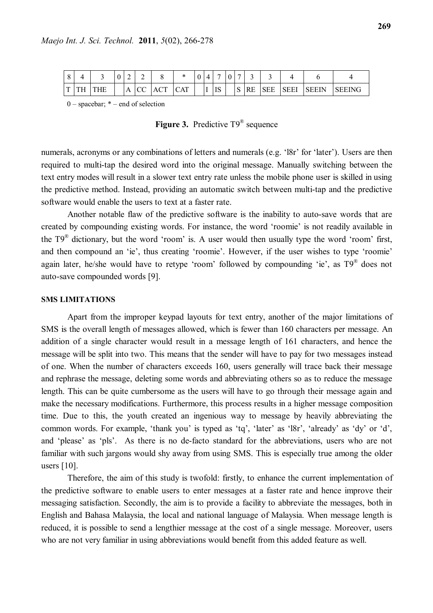| $\circ$ |    |    | ∽<br>∼ | ∼ |            | ÷   | ν |              |           | $\sim$ | $\overline{\phantom{a}}$ |    |            |             |              |               |
|---------|----|----|--------|---|------------|-----|---|--------------|-----------|--------|--------------------------|----|------------|-------------|--------------|---------------|
| T.      | TН | ΉE | A      | ╰ | <b>ACT</b> | CAT |   | $\mathbf{r}$ | ТC<br>ΙIJ |        | $\Omega$<br>◡            | RE | <b>SEE</b> | <b>SEEI</b> | <b>SEEIN</b> | <b>SEEING</b> |

 $0$  – spacebar;  $*$  – end of selection

**Figure 3.** Predictive T9® sequence

numerals, acronyms or any combinations of letters and numerals (e.g. '18r' for 'later'). Users are then required to multi-tap the desired word into the original message. Manually switching between the text entry modes will result in a slower text entry rate unless the mobile phone user is skilled in using the predictive method. Instead, providing an automatic switch between multi-tap and the predictive software would enable the users to text at a faster rate.

Another notable flaw of the predictive software is the inability to auto-save words that are created by compounding existing words. For instance, the word 'roomie' is not readily available in the  $T9^{\circ}$  dictionary, but the word 'room' is. A user would then usually type the word 'room' first, and then compound an 'ie', thus creating 'roomie'. However, if the user wishes to type 'roomie' again later, he/she would have to retype 'room' followed by compounding 'ie', as T9<sup>®</sup> does not auto-save compounded words [9].

#### **SMS LIMITATIONS**

Apart from the improper keypad layouts for text entry, another of the major limitations of SMS is the overall length of messages allowed, which is fewer than 160 characters per message. An addition of a single character would result in a message length of 161 characters, and hence the message will be split into two. This means that the sender will have to pay for two messages instead of one. When the number of characters exceeds 160, users generally will trace back their message and rephrase the message, deleting some words and abbreviating others so as to reduce the message length. This can be quite cumbersome as the users will have to go through their message again and make the necessary modifications. Furthermore, this process results in a higher message composition time. Due to this, the youth created an ingenious way to message by heavily abbreviating the common words. For example, 'thank you' is typed as 'tq', 'later' as 'l8r', 'already' as 'dy' or 'd', and 'please' as 'pls'. As there is no de-facto standard for the abbreviations, users who are not familiar with such jargons would shy away from using SMS. This is especially true among the older users [10].

Therefore, the aim of this study is twofold: firstly, to enhance the current implementation of the predictive software to enable users to enter messages at a faster rate and hence improve their messaging satisfaction. Secondly, the aim is to provide a facility to abbreviate the messages, both in English and Bahasa Malaysia, the local and national language of Malaysia. When message length is reduced, it is possible to send a lengthier message at the cost of a single message. Moreover, users who are not very familiar in using abbreviations would benefit from this added feature as well.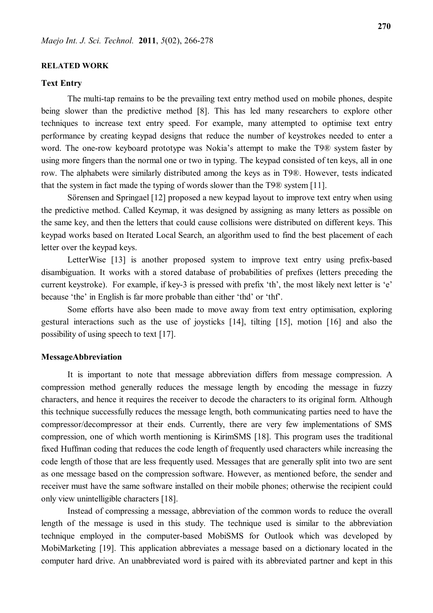# **RELATED WORK**

#### **Text Entry**

The multi-tap remains to be the prevailing text entry method used on mobile phones, despite being slower than the predictive method [8]. This has led many researchers to explore other techniques to increase text entry speed. For example, many attempted to optimise text entry performance by creating keypad designs that reduce the number of keystrokes needed to enter a word. The one-row keyboard prototype was Nokia's attempt to make the T9® system faster by using more fingers than the normal one or two in typing. The keypad consisted of ten keys, all in one row. The alphabets were similarly distributed among the keys as in T9®. However, tests indicated that the system in fact made the typing of words slower than the T9® system [11].

Sörensen and Springael [12] proposed a new keypad layout to improve text entry when using the predictive method. Called Keymap, it was designed by assigning as many letters as possible on the same key, and then the letters that could cause collisions were distributed on different keys. This keypad works based on Iterated Local Search, an algorithm used to find the best placement of each letter over the keypad keys.

LetterWise [13] is another proposed system to improve text entry using prefix-based disambiguation. It works with a stored database of probabilities of prefixes (letters preceding the current keystroke). For example, if key-3 is pressed with prefix 'th', the most likely next letter is 'e' because 'the' in English is far more probable than either 'thd' or 'thf'.

Some efforts have also been made to move away from text entry optimisation, exploring gestural interactions such as the use of joysticks [14], tilting [15], motion [16] and also the possibility of using speech to text [17].

#### **MessageAbbreviation**

It is important to note that message abbreviation differs from message compression. A compression method generally reduces the message length by encoding the message in fuzzy characters, and hence it requires the receiver to decode the characters to its original form. Although this technique successfully reduces the message length, both communicating parties need to have the compressor/decompressor at their ends. Currently, there are very few implementations of SMS compression, one of which worth mentioning is KirimSMS [18]. This program uses the traditional fixed Huffman coding that reduces the code length of frequently used characters while increasing the code length of those that are less frequently used. Messages that are generally split into two are sent as one message based on the compression software. However, as mentioned before, the sender and receiver must have the same software installed on their mobile phones; otherwise the recipient could only view unintelligible characters [18].

Instead of compressing a message, abbreviation of the common words to reduce the overall length of the message is used in this study. The technique used is similar to the abbreviation technique employed in the computer-based MobiSMS for Outlook which was developed by MobiMarketing [19]. This application abbreviates a message based on a dictionary located in the computer hard drive. An unabbreviated word is paired with its abbreviated partner and kept in this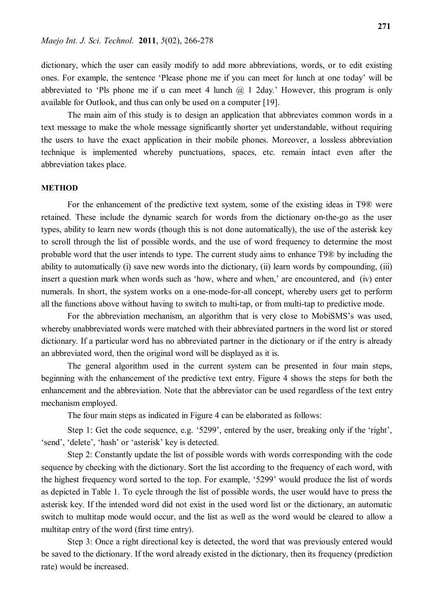dictionary, which the user can easily modify to add more abbreviations, words, or to edit existing ones. For example, the sentence 'Please phone me if you can meet for lunch at one today' will be abbreviated to 'Pls phone me if u can meet 4 lunch  $(a)$  1 2day.' However, this program is only available for Outlook, and thus can only be used on a computer [19].

The main aim of this study is to design an application that abbreviates common words in a text message to make the whole message significantly shorter yet understandable, without requiring the users to have the exact application in their mobile phones. Moreover, a lossless abbreviation technique is implemented whereby punctuations, spaces, etc. remain intact even after the abbreviation takes place.

# **METHOD**

For the enhancement of the predictive text system, some of the existing ideas in T9® were retained. These include the dynamic search for words from the dictionary on-the-go as the user types, ability to learn new words (though this is not done automatically), the use of the asterisk key to scroll through the list of possible words, and the use of word frequency to determine the most probable word that the user intends to type. The current study aims to enhance T9® by including the ability to automatically (i) save new words into the dictionary, (ii) learn words by compounding, (iii) insert a question mark when words such as 'how, where and when,' are encountered, and (iv) enter numerals. In short, the system works on a one-mode-for-all concept, whereby users get to perform all the functions above without having to switch to multi-tap, or from multi-tap to predictive mode.

For the abbreviation mechanism, an algorithm that is very close to MobiSMS's was used, whereby unabbreviated words were matched with their abbreviated partners in the word list or stored dictionary. If a particular word has no abbreviated partner in the dictionary or if the entry is already an abbreviated word, then the original word will be displayed as it is.

The general algorithm used in the current system can be presented in four main steps, beginning with the enhancement of the predictive text entry. Figure 4 shows the steps for both the enhancement and the abbreviation. Note that the abbreviator can be used regardless of the text entry mechanism employed.

The four main steps as indicated in Figure 4 can be elaborated as follows:

Step 1: Get the code sequence, e.g. '5299', entered by the user, breaking only if the 'right', 'send', 'delete', 'hash' or 'asterisk' key is detected.

Step 2: Constantly update the list of possible words with words corresponding with the code sequence by checking with the dictionary. Sort the list according to the frequency of each word, with the highest frequency word sorted to the top. For example, '5299' would produce the list of words as depicted in Table 1. To cycle through the list of possible words, the user would have to press the asterisk key. If the intended word did not exist in the used word list or the dictionary, an automatic switch to multitap mode would occur, and the list as well as the word would be cleared to allow a multitap entry of the word (first time entry).

Step 3: Once a right directional key is detected, the word that was previously entered would be saved to the dictionary. If the word already existed in the dictionary, then its frequency (prediction rate) would be increased.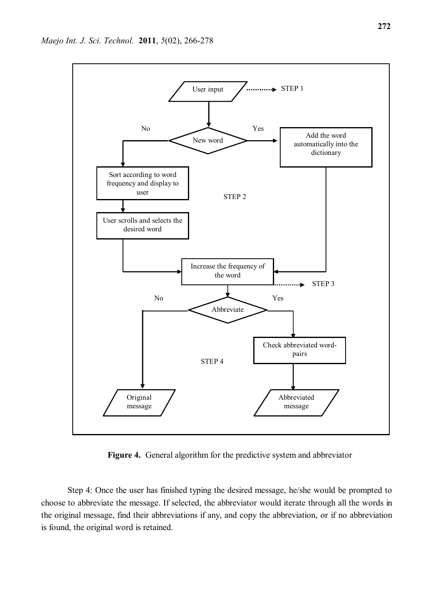

**Figure 4.** General algorithm for the predictive system and abbreviator

Step 4: Once the user has finished typing the desired message, he/she would be prompted to choose to abbreviate the message. If selected, the abbreviator would iterate through all the words in the original message, find their abbreviations if any, and copy the abbreviation, or if no abbreviation is found, the original word is retained.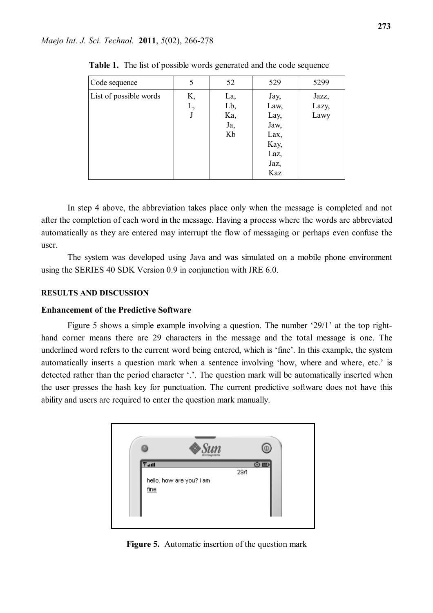| Code sequence          | 5  | 52  | 529  | 5299  |
|------------------------|----|-----|------|-------|
| List of possible words | Κ, | La, | Jay, | Jazz, |
|                        | L, | Lb, | Law, | Lazy, |
|                        | J  | Ka, | Lay, | Lawy  |
|                        |    | Ja, | Jaw, |       |
|                        |    | Kb  | Lax, |       |
|                        |    |     | Kay, |       |
|                        |    |     | Laz, |       |
|                        |    |     | Jaz, |       |
|                        |    |     | Kaz  |       |

**Table 1.** The list of possible words generated and the code sequence

In step 4 above, the abbreviation takes place only when the message is completed and not after the completion of each word in the message. Having a process where the words are abbreviated automatically as they are entered may interrupt the flow of messaging or perhaps even confuse the user.

The system was developed using Java and was simulated on a mobile phone environment using the SERIES 40 SDK Version 0.9 in conjunction with JRE 6.0.

# **RESULTS AND DISCUSSION**

#### **Enhancement of the Predictive Software**

Figure 5 shows a simple example involving a question. The number '29/1' at the top righthand corner means there are 29 characters in the message and the total message is one. The underlined word refers to the current word being entered, which is 'fine'. In this example, the system automatically inserts a question mark when a sentence involving 'how, where and where, etc.' is detected rather than the period character '.'. The question mark will be automatically inserted when the user presses the hash key for punctuation. The current predictive software does not have this ability and users are required to enter the question mark manually.



**Figure 5.** Automatic insertion of the question mark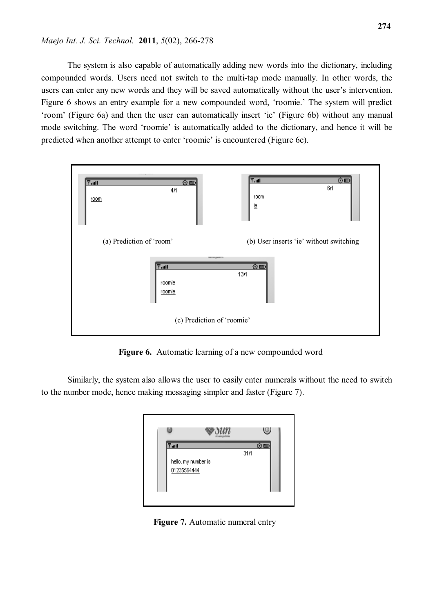# *Maejo Int. J. Sci. Technol.* **2011**, *5*(02), 266-278

The system is also capable of automatically adding new words into the dictionary, including compounded words. Users need not switch to the multi-tap mode manually. In other words, the users can enter any new words and they will be saved automatically without the user's intervention. Figure 6 shows an entry example for a new compounded word, 'roomie.' The system will predict 'room' (Figure 6a) and then the user can automatically insert 'ie' (Figure 6b) without any manual mode switching. The word 'roomie' is automatically added to the dictionary, and hence it will be predicted when another attempt to enter 'roomie' is encountered (Figure 6c).



**Figure 6.** Automatic learning of a new compounded word

Similarly, the system also allows the user to easily enter numerals without the need to switch to the number mode, hence making messaging simpler and faster (Figure 7).



**Figure 7.** Automatic numeral entry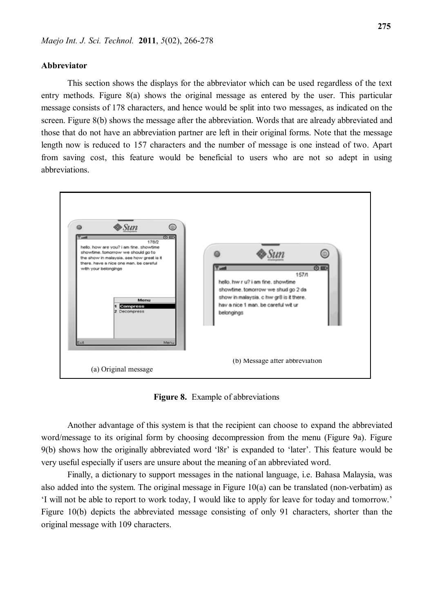#### **Abbreviator**

This section shows the displays for the abbreviator which can be used regardless of the text entry methods. Figure 8(a) shows the original message as entered by the user. This particular message consists of 178 characters, and hence would be split into two messages, as indicated on the screen. Figure 8(b) shows the message after the abbreviation. Words that are already abbreviated and those that do not have an abbreviation partner are left in their original forms. Note that the message length now is reduced to 157 characters and the number of message is one instead of two. Apart from saving cost, this feature would be beneficial to users who are not so adept in using abbreviations.



**Figure 8.** Example of abbreviations

Another advantage of this system is that the recipient can choose to expand the abbreviated word/message to its original form by choosing decompression from the menu (Figure 9a). Figure 9(b) shows how the originally abbreviated word 'l8r' is expanded to 'later'. This feature would be very useful especially if users are unsure about the meaning of an abbreviated word.

Finally, a dictionary to support messages in the national language, i.e. Bahasa Malaysia, was also added into the system. The original message in Figure 10(a) can be translated (non-verbatim) as 'I will not be able to report to work today, I would like to apply for leave for today and tomorrow.' Figure 10(b) depicts the abbreviated message consisting of only 91 characters, shorter than the original message with 109 characters.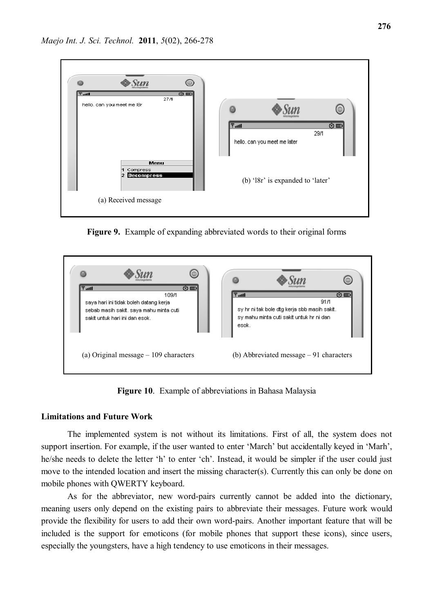

**Figure 9.** Example of expanding abbreviated words to their original forms



**Figure 10**. Example of abbreviations in Bahasa Malaysia

# **Limitations and Future Work**

The implemented system is not without its limitations. First of all, the system does not support insertion. For example, if the user wanted to enter 'March' but accidentally keyed in 'Marh', he/she needs to delete the letter 'h' to enter 'ch'. Instead, it would be simpler if the user could just move to the intended location and insert the missing character(s). Currently this can only be done on mobile phones with QWERTY keyboard.

As for the abbreviator, new word-pairs currently cannot be added into the dictionary, meaning users only depend on the existing pairs to abbreviate their messages. Future work would provide the flexibility for users to add their own word-pairs. Another important feature that will be included is the support for emoticons (for mobile phones that support these icons), since users, especially the youngsters, have a high tendency to use emoticons in their messages.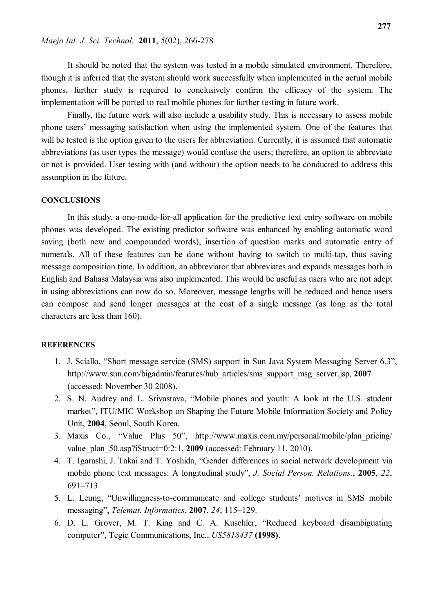It should be noted that the system was tested in a mobile simulated environment. Therefore, though it is inferred that the system should work successfully when implemented in the actual mobile phones, further study is required to conclusively confirm the efficacy of the system. The implementation will be ported to real mobile phones for further testing in future work.

Finally, the future work will also include a usability study. This is necessary to assess mobile phone users' messaging satisfaction when using the implemented system. One of the features that will be tested is the option given to the users for abbreviation. Currently, it is assumed that automatic abbreviations (as user types the message) would confuse the users; therefore, an option to abbreviate or not is provided. User testing with (and without) the option needs to be conducted to address this assumption in the future.

#### **CONCLUSIONS**

In this study, a one-mode-for-all application for the predictive text entry software on mobile phones was developed. The existing predictor software was enhanced by enabling automatic word saving (both new and compounded words), insertion of question marks and automatic entry of numerals. All of these features can be done without having to switch to multi-tap, thus saving message composition time. In addition, an abbreviator that abbreviates and expands messages both in English and Bahasa Malaysia was also implemented. This would be useful as users who are not adept in using abbreviations can now do so. Moreover, message lengths will be reduced and hence users can compose and send longer messages at the cost of a single message (as long as the total characters are less than 160).

#### **REFERENCES**

- 1. J. Sciallo, "Short message service (SMS) support in Sun Java System Messaging Server 6.3", http://www.sun.com/bigadmin/features/hub\_articles/sms\_support\_msg\_server.jsp, **2007** (accessed: November 30 2008).
- 2. S. N. Audrey and L. Srivastava, "Mobile phones and youth: A look at the U.S. student market", ITU/MIC Workshop on Shaping the Future Mobile Information Society and Policy Unit, **2004**, Seoul, South Korea.
- 3. Maxis Co., "Value Plus 50", http://www.maxis.com.my/personal/mobile/plan\_pricing/ value\_plan\_50.asp?iStruct=0:2:1, **2009** (accessed: February 11, 2010).
- 4. T. Igarashi, J. Takai and T. Yoshida, "Gender differences in social network development via mobile phone text messages: A longitudinal study", *J. Social Person. Relations.*, **2005**, *22*, 691–713.
- 5. L. Leung, "Unwillingness-to-communicate and college students' motives in SMS mobile messaging", *Telemat. Informatics*, **2007**, *24*, 115–129.
- 6. D. L. Grover, M. T. King and C. A. Kuschler, "Reduced keyboard disambiguating computer", Tegic Communications, Inc., *US5818437* **(1998)**.